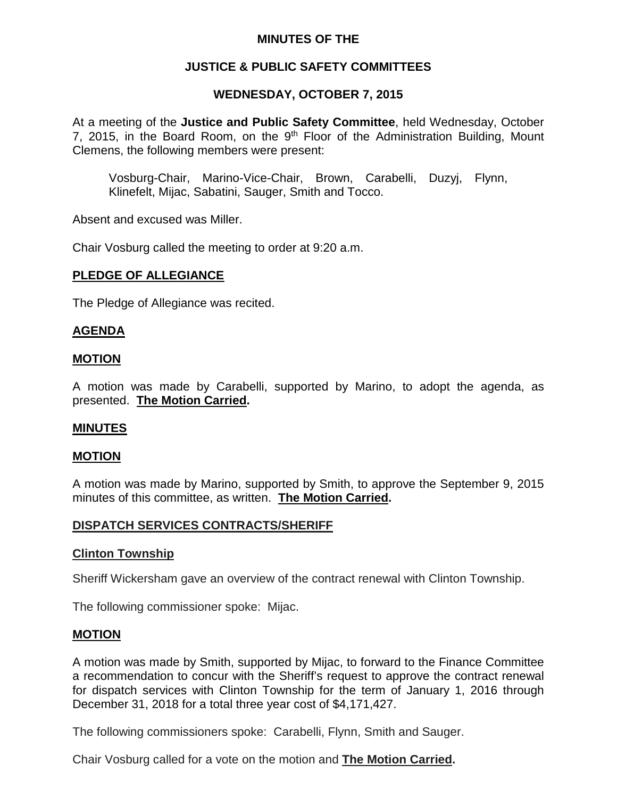# **MINUTES OF THE**

# **JUSTICE & PUBLIC SAFETY COMMITTEES**

# **WEDNESDAY, OCTOBER 7, 2015**

At a meeting of the **Justice and Public Safety Committee**, held Wednesday, October 7, 2015, in the Board Room, on the  $9<sup>th</sup>$  Floor of the Administration Building, Mount Clemens, the following members were present:

Vosburg-Chair, Marino-Vice-Chair, Brown, Carabelli, Duzyj, Flynn, Klinefelt, Mijac, Sabatini, Sauger, Smith and Tocco.

Absent and excused was Miller.

Chair Vosburg called the meeting to order at 9:20 a.m.

#### **PLEDGE OF ALLEGIANCE**

The Pledge of Allegiance was recited.

### **AGENDA**

#### **MOTION**

A motion was made by Carabelli, supported by Marino, to adopt the agenda, as presented. **The Motion Carried.**

#### **MINUTES**

### **MOTION**

A motion was made by Marino, supported by Smith, to approve the September 9, 2015 minutes of this committee, as written. **The Motion Carried.**

### **DISPATCH SERVICES CONTRACTS/SHERIFF**

#### **Clinton Township**

Sheriff Wickersham gave an overview of the contract renewal with Clinton Township.

The following commissioner spoke: Mijac.

#### **MOTION**

A motion was made by Smith, supported by Mijac, to forward to the Finance Committee a recommendation to concur with the Sheriff's request to approve the contract renewal for dispatch services with Clinton Township for the term of January 1, 2016 through December 31, 2018 for a total three year cost of \$4,171,427.

The following commissioners spoke: Carabelli, Flynn, Smith and Sauger.

Chair Vosburg called for a vote on the motion and **The Motion Carried.**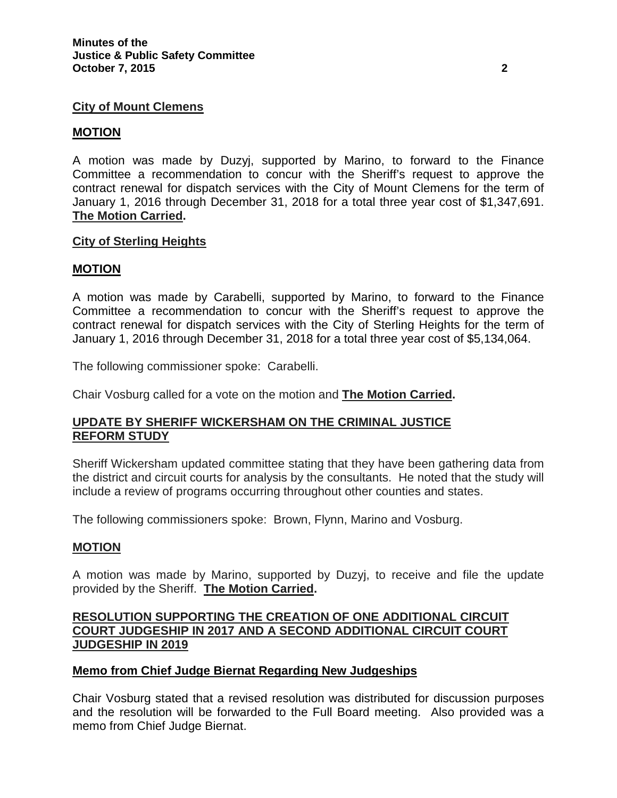# **City of Mount Clemens**

### **MOTION**

A motion was made by Duzyj, supported by Marino, to forward to the Finance Committee a recommendation to concur with the Sheriff's request to approve the contract renewal for dispatch services with the City of Mount Clemens for the term of January 1, 2016 through December 31, 2018 for a total three year cost of \$1,347,691. **The Motion Carried.**

# **City of Sterling Heights**

### **MOTION**

A motion was made by Carabelli, supported by Marino, to forward to the Finance Committee a recommendation to concur with the Sheriff's request to approve the contract renewal for dispatch services with the City of Sterling Heights for the term of January 1, 2016 through December 31, 2018 for a total three year cost of \$5,134,064.

The following commissioner spoke: Carabelli.

Chair Vosburg called for a vote on the motion and **The Motion Carried.**

# **UPDATE BY SHERIFF WICKERSHAM ON THE CRIMINAL JUSTICE REFORM STUDY**

Sheriff Wickersham updated committee stating that they have been gathering data from the district and circuit courts for analysis by the consultants. He noted that the study will include a review of programs occurring throughout other counties and states.

The following commissioners spoke: Brown, Flynn, Marino and Vosburg.

### **MOTION**

A motion was made by Marino, supported by Duzyj, to receive and file the update provided by the Sheriff. **The Motion Carried.**

## **RESOLUTION SUPPORTING THE CREATION OF ONE ADDITIONAL CIRCUIT COURT JUDGESHIP IN 2017 AND A SECOND ADDITIONAL CIRCUIT COURT JUDGESHIP IN 2019**

### **Memo from Chief Judge Biernat Regarding New Judgeships**

Chair Vosburg stated that a revised resolution was distributed for discussion purposes and the resolution will be forwarded to the Full Board meeting. Also provided was a memo from Chief Judge Biernat.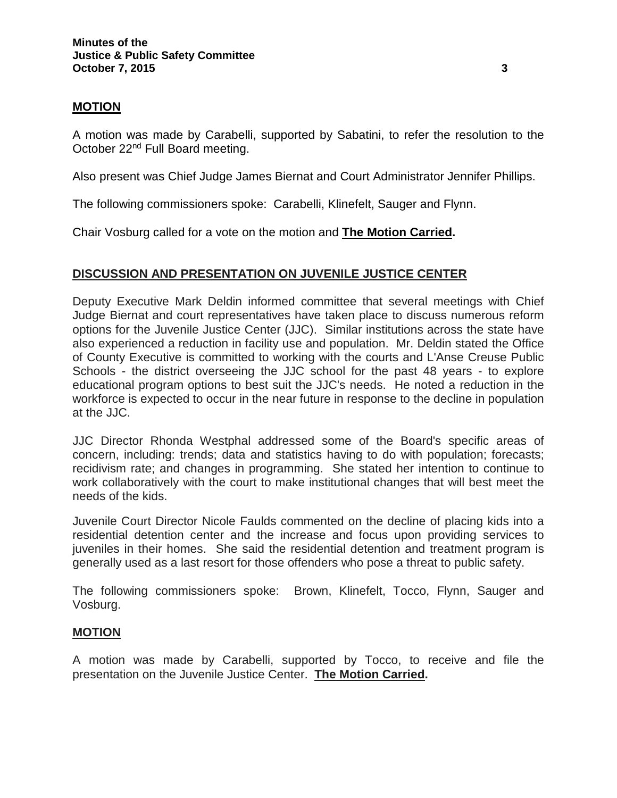### **MOTION**

A motion was made by Carabelli, supported by Sabatini, to refer the resolution to the October 22nd Full Board meeting.

Also present was Chief Judge James Biernat and Court Administrator Jennifer Phillips.

The following commissioners spoke: Carabelli, Klinefelt, Sauger and Flynn.

Chair Vosburg called for a vote on the motion and **The Motion Carried.**

# **DISCUSSION AND PRESENTATION ON JUVENILE JUSTICE CENTER**

Deputy Executive Mark Deldin informed committee that several meetings with Chief Judge Biernat and court representatives have taken place to discuss numerous reform options for the Juvenile Justice Center (JJC). Similar institutions across the state have also experienced a reduction in facility use and population. Mr. Deldin stated the Office of County Executive is committed to working with the courts and L'Anse Creuse Public Schools - the district overseeing the JJC school for the past 48 years - to explore educational program options to best suit the JJC's needs. He noted a reduction in the workforce is expected to occur in the near future in response to the decline in population at the JJC.

JJC Director Rhonda Westphal addressed some of the Board's specific areas of concern, including: trends; data and statistics having to do with population; forecasts; recidivism rate; and changes in programming. She stated her intention to continue to work collaboratively with the court to make institutional changes that will best meet the needs of the kids.

Juvenile Court Director Nicole Faulds commented on the decline of placing kids into a residential detention center and the increase and focus upon providing services to juveniles in their homes. She said the residential detention and treatment program is generally used as a last resort for those offenders who pose a threat to public safety.

The following commissioners spoke: Brown, Klinefelt, Tocco, Flynn, Sauger and Vosburg.

### **MOTION**

A motion was made by Carabelli, supported by Tocco, to receive and file the presentation on the Juvenile Justice Center. **The Motion Carried.**